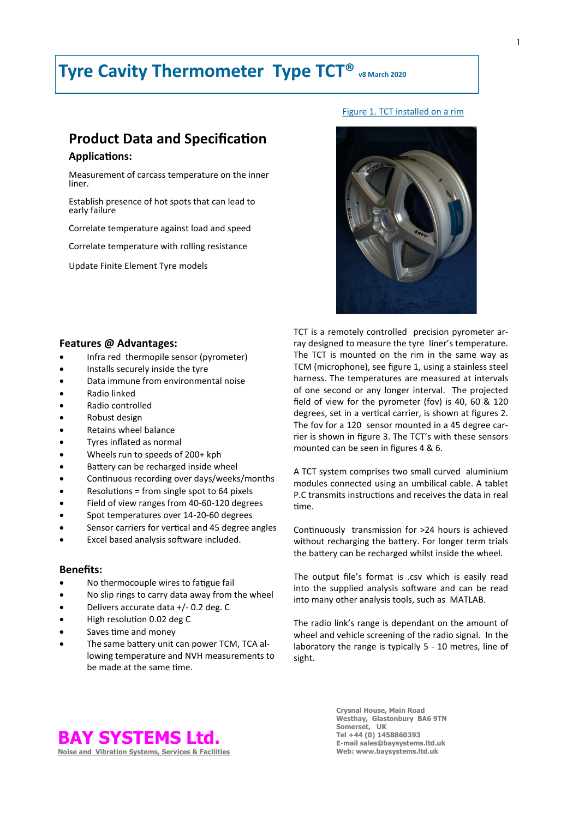# **Tyre Cavity Thermometer Type TCT® v8 March 2020**

# **Product Data and Specification**

## **Applications:**

Measurement of carcass temperature on the inner liner.

Establish presence of hot spots that can lead to early failure

Correlate temperature against load and speed

Correlate temperature with rolling resistance

Update Finite Element Tyre models

### **Features @ Advantages:**

- Infra red thermopile sensor (pyrometer)
- Installs securely inside the tyre
- Data immune from environmental noise
- Radio linked
- Radio controlled
- Robust design
- Retains wheel balance
- Tyres inflated as normal
- Wheels run to speeds of 200+ kph
- Battery can be recharged inside wheel
- Continuous recording over days/weeks/months
- Resolutions = from single spot to 64 pixels
- Field of view ranges from 40-60-120 degrees
- Spot temperatures over 14-20-60 degrees
- Sensor carriers for vertical and 45 degree angles
- Excel based analysis software included.

### **Benefits:**

- No thermocouple wires to fatigue fail
- No slip rings to carry data away from the wheel
- Delivers accurate data +/- 0.2 deg. C
- High resolution 0.02 deg C
- Saves time and money
- The same battery unit can power TCM, TCA allowing temperature and NVH measurements to be made at the same time.

TCT is a remotely controlled precision pyrometer array designed to measure the tyre liner's temperature. The TCT is mounted on the rim in the same way as TCM (microphone), see figure 1, using a stainless steel harness. The temperatures are measured at intervals of one second or any longer interval. The projected field of view for the pyrometer (fov) is 40, 60 & 120 degrees, set in a vertical carrier, is shown at figures 2. The fov for a 120 sensor mounted in a 45 degree carrier is shown in figure 3. The TCT's with these sensors mounted can be seen in figures 4 & 6.

A TCT system comprises two small curved aluminium modules connected using an umbilical cable. A tablet P.C transmits instructions and receives the data in real time.

Continuously transmission for >24 hours is achieved without recharging the battery. For longer term trials the battery can be recharged whilst inside the wheel.

The output file's format is .csv which is easily read into the supplied analysis software and can be read into many other analysis tools, such as MATLAB.

The radio link's range is dependant on the amount of wheel and vehicle screening of the radio signal. In the laboratory the range is typically 5 - 10 metres, line of sight.



Figure 1. TCT installed on a rim



**Crysnal House, Main Road Westhay, Glastonbury BA6 9TN Somerset, UK Tel +44 (0) 1458860393 E-mail sales@baysystems.ltd.uk Web: www.baysystems.ltd.uk**

#### 1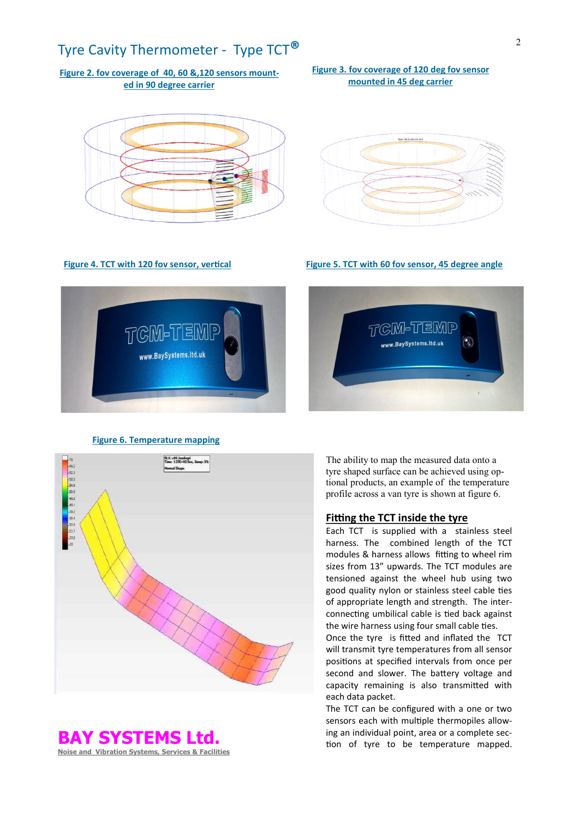# Tyre Cavity Thermometer - Type TCT**®**

# **Figure 2. fov coverage of 40, 60 &,120 sensors mounted in 90 degree carrier**



### **Figure 4. TCT with 120 fov sensor, vertical**

TGM-TEMP www.BaySystems.ltd.uk

**Figure 5. TCT with 60 fov sensor, 45 degree angle** 

## **Figure 6. Temperature mapping**

TGM-TEMP

www.BaySystems.ltd.uk



**BAY SYSTEMS Ltd.**

**Noise and Vibration Systems, Services & Facilities**

The ability to map the measured data onto a tyre shaped surface can be achieved using optional products, an example of the temperature profile across a van tyre is shown at figure 6.

#### **Fitting the TCT inside the tyre**

Each TCT is supplied with a stainless steel harness. The combined length of the TCT modules & harness allows fitting to wheel rim sizes from 13" upwards. The TCT modules are tensioned against the wheel hub using two good quality nylon or stainless steel cable ties of appropriate length and strength. The interconnecting umbilical cable is tied back against the wire harness using four small cable ties.

Once the tyre is fitted and inflated the TCT will transmit tyre temperatures from all sensor positions at specified intervals from once per second and slower. The battery voltage and capacity remaining is also transmitted with each data packet.

The TCT can be configured with a one or two sensors each with multiple thermopiles allowing an individual point, area or a complete section of tyre to be temperature mapped.

**Figure 3. fov coverage of 120 deg fov sensor mounted in 45 deg carrier**